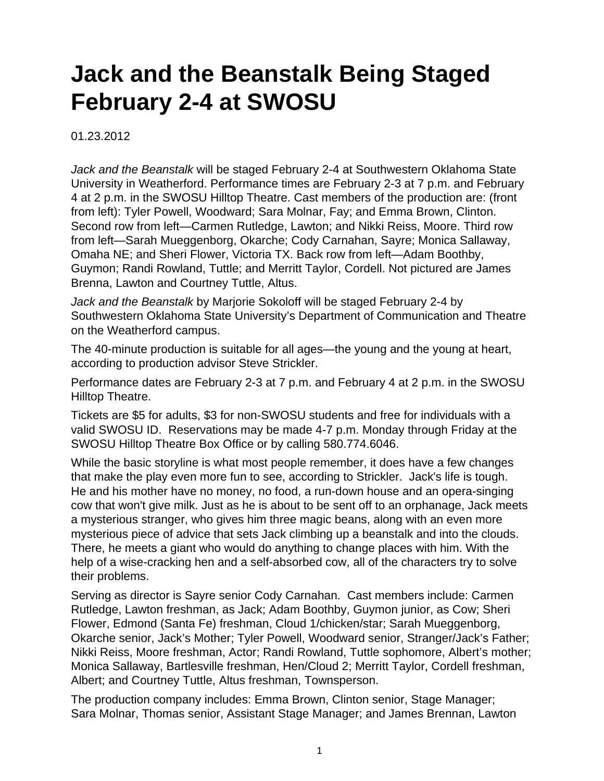## **Jack and the Beanstalk Being Staged February 2-4 at SWOSU**

01.23.2012

Jack and the Beanstalk will be staged February 2-4 at Southwestern Oklahoma State University in Weatherford. Performance times are February 2-3 at 7 p.m. and February 4 at 2 p.m. in the SWOSU Hilltop Theatre. Cast members of the production are: (front from left): Tyler Powell, Woodward; Sara Molnar, Fay; and Emma Brown, Clinton. Second row from left—Carmen Rutledge, Lawton; and Nikki Reiss, Moore. Third row from left—Sarah Mueggenborg, Okarche; Cody Carnahan, Sayre; Monica Sallaway, Omaha NE; and Sheri Flower, Victoria TX. Back row from left—Adam Boothby, Guymon; Randi Rowland, Tuttle; and Merritt Taylor, Cordell. Not pictured are James Brenna, Lawton and Courtney Tuttle, Altus.

Jack and the Beanstalk by Marjorie Sokoloff will be staged February 2-4 by Southwestern Oklahoma State University's Department of Communication and Theatre on the Weatherford campus.

The 40-minute production is suitable for all ages—the young and the young at heart, according to production advisor Steve Strickler.

Performance dates are February 2-3 at 7 p.m. and February 4 at 2 p.m. in the SWOSU Hilltop Theatre.

Tickets are \$5 for adults, \$3 for non-SWOSU students and free for individuals with a valid SWOSU ID. Reservations may be made 4-7 p.m. Monday through Friday at the SWOSU Hilltop Theatre Box Office or by calling 580.774.6046.

While the basic storyline is what most people remember, it does have a few changes that make the play even more fun to see, according to Strickler. Jack's life is tough. He and his mother have no money, no food, a run-down house and an opera-singing cow that won't give milk. Just as he is about to be sent off to an orphanage, Jack meets a mysterious stranger, who gives him three magic beans, along with an even more mysterious piece of advice that sets Jack climbing up a beanstalk and into the clouds. There, he meets a giant who would do anything to change places with him. With the help of a wise-cracking hen and a self-absorbed cow, all of the characters try to solve their problems.

Serving as director is Sayre senior Cody Carnahan. Cast members include: Carmen Rutledge, Lawton freshman, as Jack; Adam Boothby, Guymon junior, as Cow; Sheri Flower, Edmond (Santa Fe) freshman, Cloud 1/chicken/star; Sarah Mueggenborg, Okarche senior, Jack's Mother; Tyler Powell, Woodward senior, Stranger/Jack's Father; Nikki Reiss, Moore freshman, Actor; Randi Rowland, Tuttle sophomore, Albert's mother; Monica Sallaway, Bartlesville freshman, Hen/Cloud 2; Merritt Taylor, Cordell freshman, Albert; and Courtney Tuttle, Altus freshman, Townsperson.

The production company includes: Emma Brown, Clinton senior, Stage Manager; Sara Molnar, Thomas senior, Assistant Stage Manager; and James Brennan, Lawton